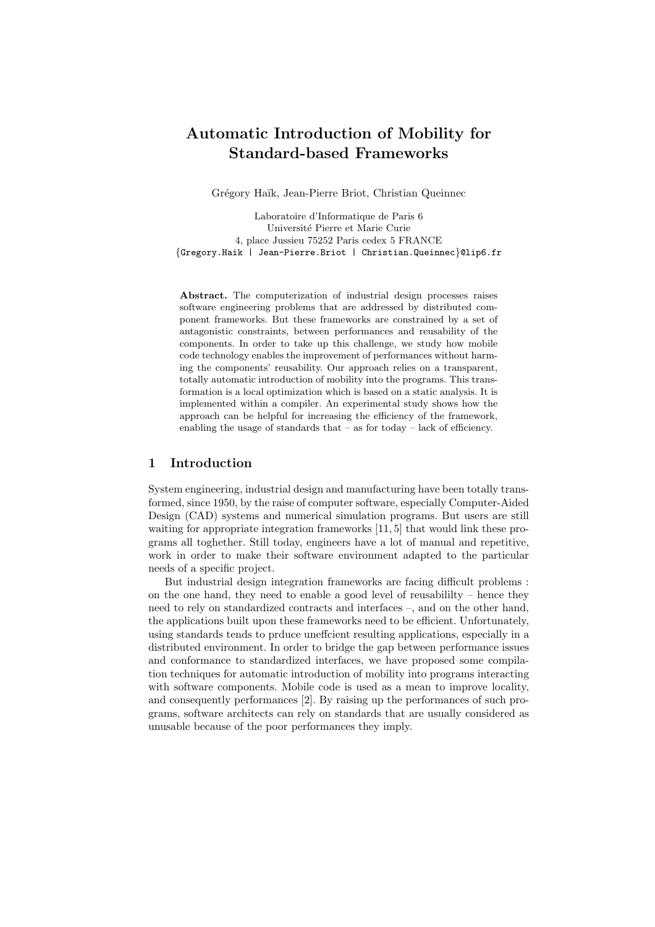# Automatic Introduction of Mobility for Standard-based Frameworks

Grégory Haïk, Jean-Pierre Briot, Christian Queinnec

Laboratoire d'Informatique de Paris 6 Universit´e Pierre et Marie Curie 4, place Jussieu 75252 Paris cedex 5 FRANCE {Gregory.Haik | Jean-Pierre.Briot | Christian.Queinnec}@lip6.fr

Abstract. The computerization of industrial design processes raises software engineering problems that are addressed by distributed component frameworks. But these frameworks are constrained by a set of antagonistic constraints, between performances and reusability of the components. In order to take up this challenge, we study how mobile code technology enables the improvement of performances without harming the components' reusability. Our approach relies on a transparent, totally automatic introduction of mobility into the programs. This transformation is a local optimization which is based on a static analysis. It is implemented within a compiler. An experimental study shows how the approach can be helpful for increasing the efficiency of the framework, enabling the usage of standards that – as for today – lack of efficiency.

# 1 Introduction

System engineering, industrial design and manufacturing have been totally transformed, since 1950, by the raise of computer software, especially Computer-Aided Design (CAD) systems and numerical simulation programs. But users are still waiting for appropriate integration frameworks [11, 5] that would link these programs all toghether. Still today, engineers have a lot of manual and repetitive, work in order to make their software environment adapted to the particular needs of a specific project.

But industrial design integration frameworks are facing difficult problems : on the one hand, they need to enable a good level of reusabililty – hence they need to rely on standardized contracts and interfaces –, and on the other hand, the applications built upon these frameworks need to be efficient. Unfortunately, using standards tends to prduce uneffcient resulting applications, especially in a distributed environment. In order to bridge the gap between performance issues and conformance to standardized interfaces, we have proposed some compilation techniques for automatic introduction of mobility into programs interacting with software components. Mobile code is used as a mean to improve locality, and consequently performances [2]. By raising up the performances of such programs, software architects can rely on standards that are usually considered as unusable because of the poor performances they imply.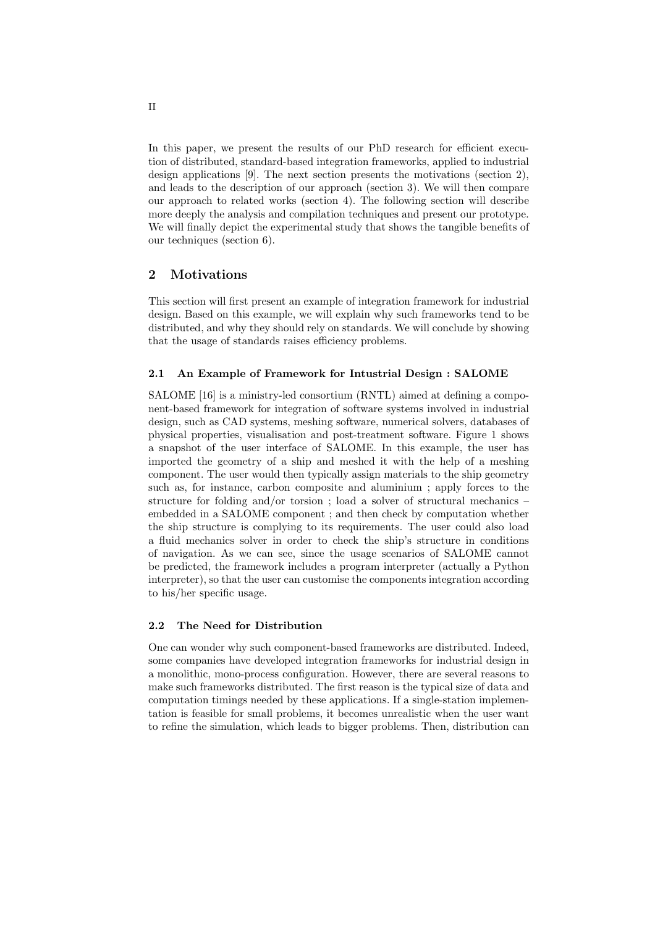In this paper, we present the results of our PhD research for efficient execution of distributed, standard-based integration frameworks, applied to industrial design applications [9]. The next section presents the motivations (section 2), and leads to the description of our approach (section 3). We will then compare our approach to related works (section 4). The following section will describe more deeply the analysis and compilation techniques and present our prototype. We will finally depict the experimental study that shows the tangible benefits of our techniques (section 6).

# 2 Motivations

This section will first present an example of integration framework for industrial design. Based on this example, we will explain why such frameworks tend to be distributed, and why they should rely on standards. We will conclude by showing that the usage of standards raises efficiency problems.

#### 2.1 An Example of Framework for Intustrial Design : SALOME

SALOME [16] is a ministry-led consortium (RNTL) aimed at defining a component-based framework for integration of software systems involved in industrial design, such as CAD systems, meshing software, numerical solvers, databases of physical properties, visualisation and post-treatment software. Figure 1 shows a snapshot of the user interface of SALOME. In this example, the user has imported the geometry of a ship and meshed it with the help of a meshing component. The user would then typically assign materials to the ship geometry such as, for instance, carbon composite and aluminium ; apply forces to the structure for folding and/or torsion ; load a solver of structural mechanics – embedded in a SALOME component ; and then check by computation whether the ship structure is complying to its requirements. The user could also load a fluid mechanics solver in order to check the ship's structure in conditions of navigation. As we can see, since the usage scenarios of SALOME cannot be predicted, the framework includes a program interpreter (actually a Python interpreter), so that the user can customise the components integration according to his/her specific usage.

# 2.2 The Need for Distribution

One can wonder why such component-based frameworks are distributed. Indeed, some companies have developed integration frameworks for industrial design in a monolithic, mono-process configuration. However, there are several reasons to make such frameworks distributed. The first reason is the typical size of data and computation timings needed by these applications. If a single-station implementation is feasible for small problems, it becomes unrealistic when the user want to refine the simulation, which leads to bigger problems. Then, distribution can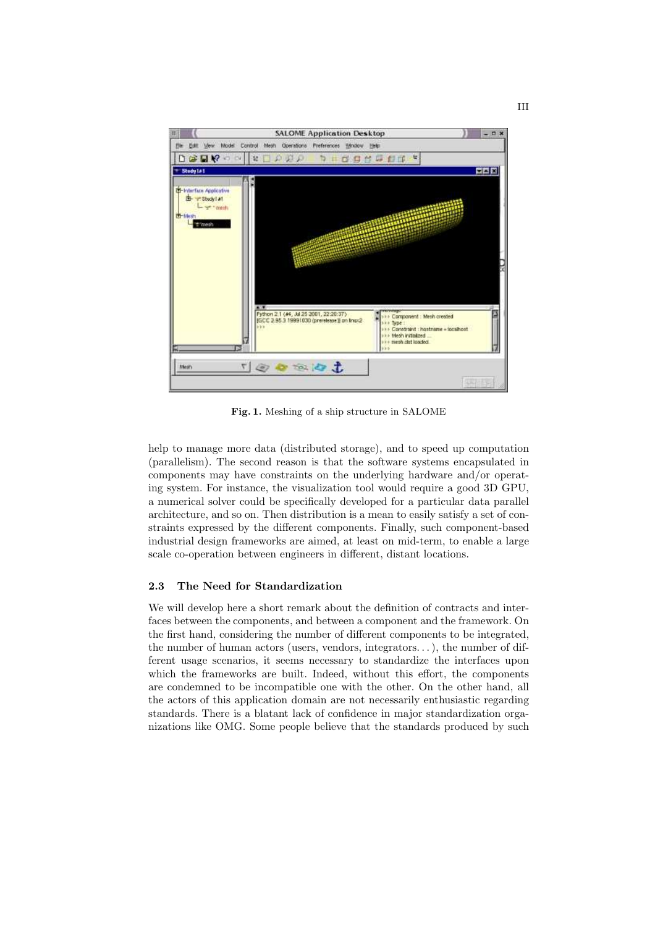

Fig. 1. Meshing of a ship structure in SALOME

help to manage more data (distributed storage), and to speed up computation (parallelism). The second reason is that the software systems encapsulated in components may have constraints on the underlying hardware and/or operating system. For instance, the visualization tool would require a good 3D GPU, a numerical solver could be specifically developed for a particular data parallel architecture, and so on. Then distribution is a mean to easily satisfy a set of constraints expressed by the different components. Finally, such component-based industrial design frameworks are aimed, at least on mid-term, to enable a large scale co-operation between engineers in different, distant locations.

#### 2.3 The Need for Standardization

We will develop here a short remark about the definition of contracts and interfaces between the components, and between a component and the framework. On the first hand, considering the number of different components to be integrated, the number of human actors (users, vendors, integrators. . . ), the number of different usage scenarios, it seems necessary to standardize the interfaces upon which the frameworks are built. Indeed, without this effort, the components are condemned to be incompatible one with the other. On the other hand, all the actors of this application domain are not necessarily enthusiastic regarding standards. There is a blatant lack of confidence in major standardization organizations like OMG. Some people believe that the standards produced by such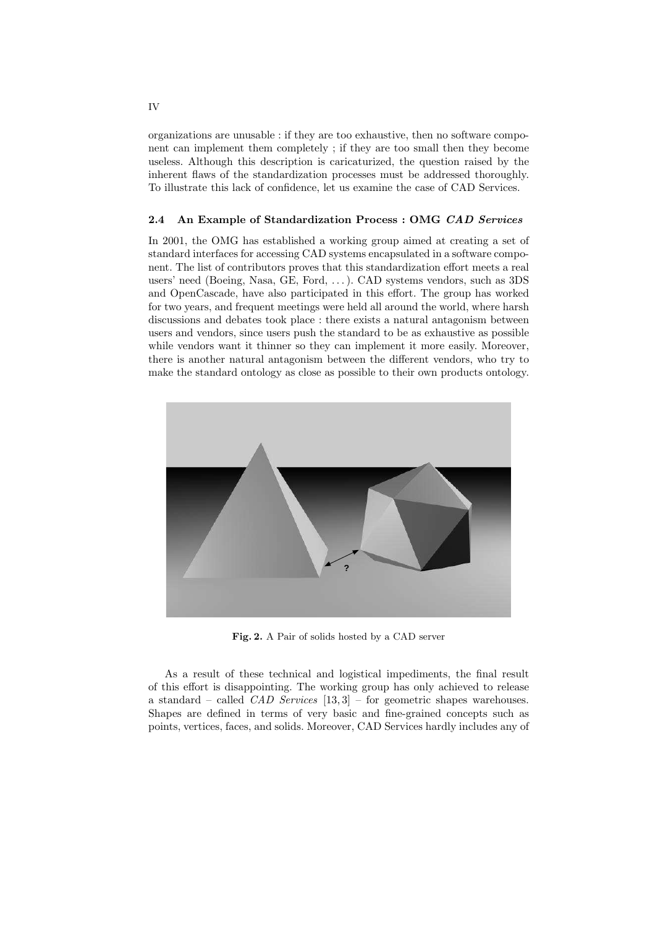organizations are unusable : if they are too exhaustive, then no software component can implement them completely ; if they are too small then they become useless. Although this description is caricaturized, the question raised by the inherent flaws of the standardization processes must be addressed thoroughly. To illustrate this lack of confidence, let us examine the case of CAD Services.

#### 2.4 An Example of Standardization Process : OMG CAD Services

In 2001, the OMG has established a working group aimed at creating a set of standard interfaces for accessing CAD systems encapsulated in a software component. The list of contributors proves that this standardization effort meets a real users' need (Boeing, Nasa, GE, Ford, . . . ). CAD systems vendors, such as 3DS and OpenCascade, have also participated in this effort. The group has worked for two years, and frequent meetings were held all around the world, where harsh discussions and debates took place : there exists a natural antagonism between users and vendors, since users push the standard to be as exhaustive as possible while vendors want it thinner so they can implement it more easily. Moreover, there is another natural antagonism between the different vendors, who try to make the standard ontology as close as possible to their own products ontology.



Fig. 2. A Pair of solids hosted by a CAD server

As a result of these technical and logistical impediments, the final result of this effort is disappointing. The working group has only achieved to release a standard – called  $CAD$  Services  $[13, 3]$  – for geometric shapes warehouses. Shapes are defined in terms of very basic and fine-grained concepts such as points, vertices, faces, and solids. Moreover, CAD Services hardly includes any of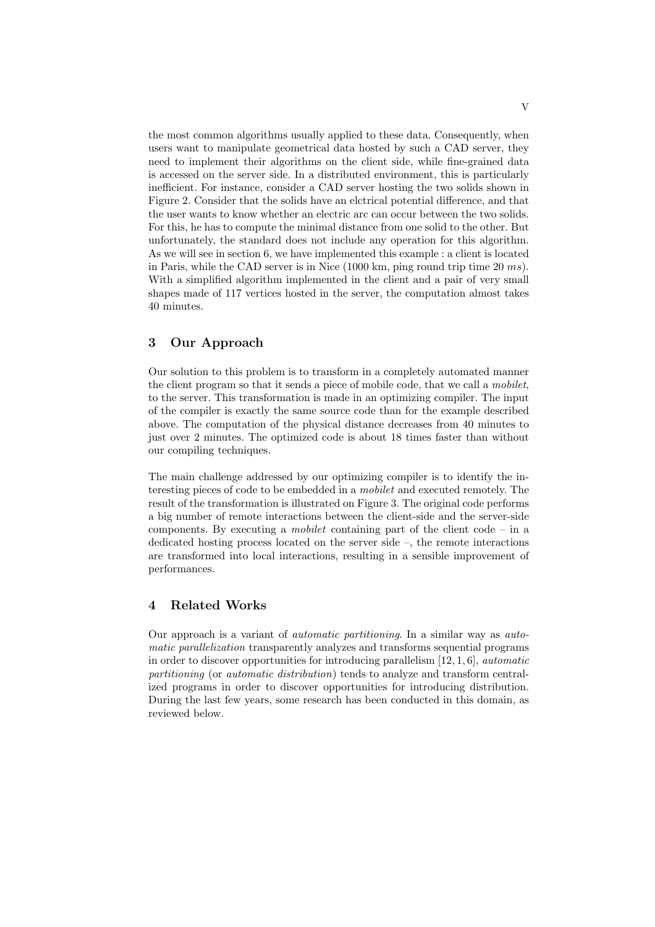the most common algorithms usually applied to these data. Consequently, when users want to manipulate geometrical data hosted by such a CAD server, they need to implement their algorithms on the client side, while fine-grained data is accessed on the server side. In a distributed environment, this is particularly inefficient. For instance, consider a CAD server hosting the two solids shown in Figure 2. Consider that the solids have an elctrical potential difference, and that the user wants to know whether an electric arc can occur between the two solids. For this, he has to compute the minimal distance from one solid to the other. But unfortunately, the standard does not include any operation for this algorithm. As we will see in section 6, we have implemented this example : a client is located in Paris, while the CAD server is in Nice (1000 km, ping round trip time 20 ms). With a simplified algorithm implemented in the client and a pair of very small shapes made of 117 vertices hosted in the server, the computation almost takes 40 minutes.

# 3 Our Approach

Our solution to this problem is to transform in a completely automated manner the client program so that it sends a piece of mobile code, that we call a mobilet, to the server. This transformation is made in an optimizing compiler. The input of the compiler is exactly the same source code than for the example described above. The computation of the physical distance decreases from 40 minutes to just over 2 minutes. The optimized code is about 18 times faster than without our compiling techniques.

The main challenge addressed by our optimizing compiler is to identify the interesting pieces of code to be embedded in a mobilet and executed remotely. The result of the transformation is illustrated on Figure 3. The original code performs a big number of remote interactions between the client-side and the server-side components. By executing a *mobilet* containing part of the client code – in a dedicated hosting process located on the server side –, the remote interactions are transformed into local interactions, resulting in a sensible improvement of performances.

# 4 Related Works

Our approach is a variant of automatic partitioning. In a similar way as automatic parallelization transparently analyzes and transforms sequential programs in order to discover opportunities for introducing parallelism  $[12, 1, 6]$ , *automatic* partitioning (or automatic distribution) tends to analyze and transform centralized programs in order to discover opportunities for introducing distribution. During the last few years, some research has been conducted in this domain, as reviewed below.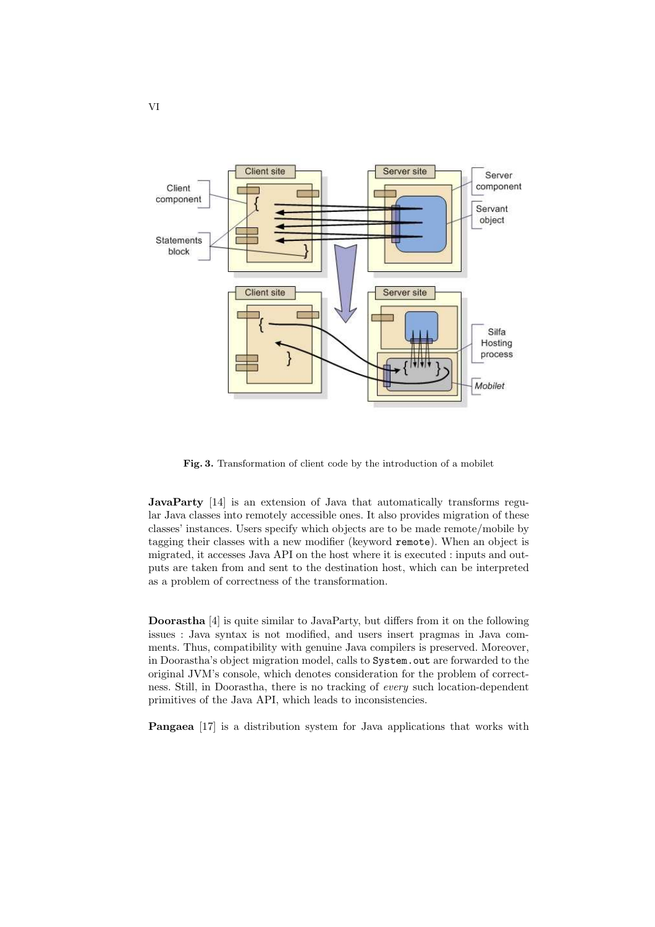

Fig. 3. Transformation of client code by the introduction of a mobilet

JavaParty [14] is an extension of Java that automatically transforms regular Java classes into remotely accessible ones. It also provides migration of these classes' instances. Users specify which objects are to be made remote/mobile by tagging their classes with a new modifier (keyword remote). When an object is migrated, it accesses Java API on the host where it is executed : inputs and outputs are taken from and sent to the destination host, which can be interpreted as a problem of correctness of the transformation.

Doorastha [4] is quite similar to JavaParty, but differs from it on the following issues : Java syntax is not modified, and users insert pragmas in Java comments. Thus, compatibility with genuine Java compilers is preserved. Moreover, in Doorastha's object migration model, calls to System.out are forwarded to the original JVM's console, which denotes consideration for the problem of correctness. Still, in Doorastha, there is no tracking of every such location-dependent primitives of the Java API, which leads to inconsistencies.

Pangaea [17] is a distribution system for Java applications that works with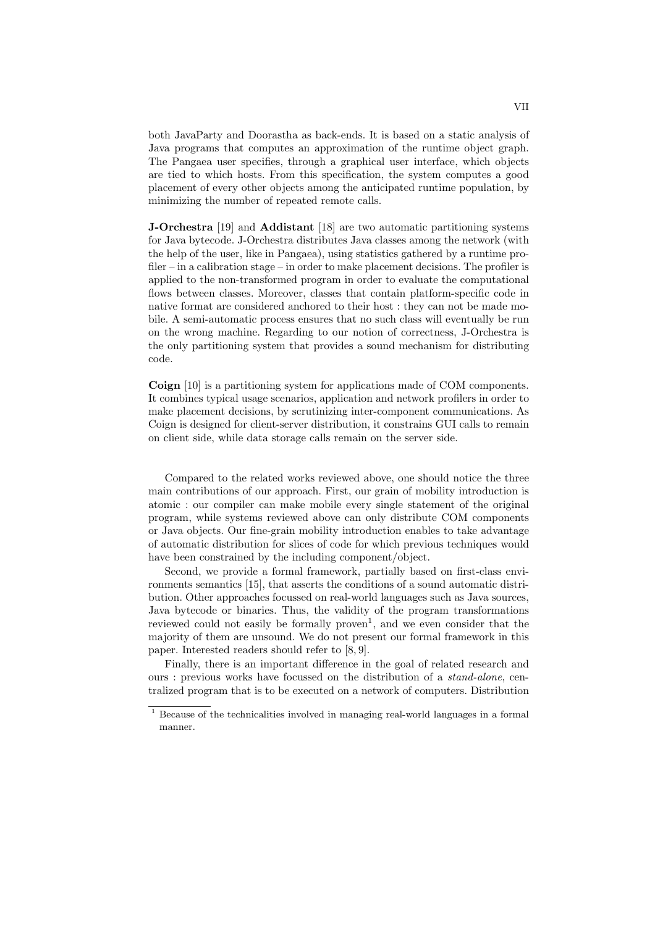both JavaParty and Doorastha as back-ends. It is based on a static analysis of Java programs that computes an approximation of the runtime object graph. The Pangaea user specifies, through a graphical user interface, which objects are tied to which hosts. From this specification, the system computes a good placement of every other objects among the anticipated runtime population, by minimizing the number of repeated remote calls.

J-Orchestra [19] and Addistant [18] are two automatic partitioning systems for Java bytecode. J-Orchestra distributes Java classes among the network (with the help of the user, like in Pangaea), using statistics gathered by a runtime profiler – in a calibration stage – in order to make placement decisions. The profiler is applied to the non-transformed program in order to evaluate the computational flows between classes. Moreover, classes that contain platform-specific code in native format are considered anchored to their host : they can not be made mobile. A semi-automatic process ensures that no such class will eventually be run on the wrong machine. Regarding to our notion of correctness, J-Orchestra is the only partitioning system that provides a sound mechanism for distributing code.

Coign [10] is a partitioning system for applications made of COM components. It combines typical usage scenarios, application and network profilers in order to make placement decisions, by scrutinizing inter-component communications. As Coign is designed for client-server distribution, it constrains GUI calls to remain on client side, while data storage calls remain on the server side.

Compared to the related works reviewed above, one should notice the three main contributions of our approach. First, our grain of mobility introduction is atomic : our compiler can make mobile every single statement of the original program, while systems reviewed above can only distribute COM components or Java objects. Our fine-grain mobility introduction enables to take advantage of automatic distribution for slices of code for which previous techniques would have been constrained by the including component/object.

Second, we provide a formal framework, partially based on first-class environments semantics [15], that asserts the conditions of a sound automatic distribution. Other approaches focussed on real-world languages such as Java sources, Java bytecode or binaries. Thus, the validity of the program transformations reviewed could not easily be formally  $proven<sup>1</sup>$ , and we even consider that the majority of them are unsound. We do not present our formal framework in this paper. Interested readers should refer to [8, 9].

Finally, there is an important difference in the goal of related research and ours : previous works have focussed on the distribution of a stand-alone, centralized program that is to be executed on a network of computers. Distribution

 $^{\rm 1}$  Because of the technicalities involved in managing real-world languages in a formal manner.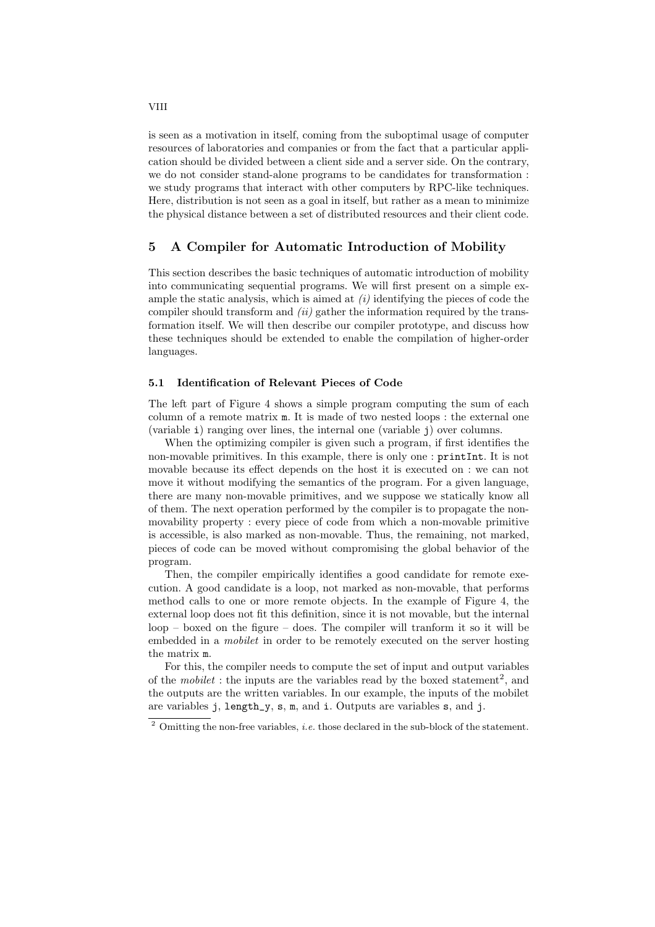is seen as a motivation in itself, coming from the suboptimal usage of computer resources of laboratories and companies or from the fact that a particular application should be divided between a client side and a server side. On the contrary, we do not consider stand-alone programs to be candidates for transformation : we study programs that interact with other computers by RPC-like techniques. Here, distribution is not seen as a goal in itself, but rather as a mean to minimize the physical distance between a set of distributed resources and their client code.

# 5 A Compiler for Automatic Introduction of Mobility

This section describes the basic techniques of automatic introduction of mobility into communicating sequential programs. We will first present on a simple example the static analysis, which is aimed at  $(i)$  identifying the pieces of code the compiler should transform and  $(ii)$  gather the information required by the transformation itself. We will then describe our compiler prototype, and discuss how these techniques should be extended to enable the compilation of higher-order languages.

# 5.1 Identification of Relevant Pieces of Code

The left part of Figure 4 shows a simple program computing the sum of each column of a remote matrix m. It is made of two nested loops : the external one (variable i) ranging over lines, the internal one (variable j) over columns.

When the optimizing compiler is given such a program, if first identifies the non-movable primitives. In this example, there is only one : printInt. It is not movable because its effect depends on the host it is executed on : we can not move it without modifying the semantics of the program. For a given language, there are many non-movable primitives, and we suppose we statically know all of them. The next operation performed by the compiler is to propagate the nonmovability property : every piece of code from which a non-movable primitive is accessible, is also marked as non-movable. Thus, the remaining, not marked, pieces of code can be moved without compromising the global behavior of the program.

Then, the compiler empirically identifies a good candidate for remote execution. A good candidate is a loop, not marked as non-movable, that performs method calls to one or more remote objects. In the example of Figure 4, the external loop does not fit this definition, since it is not movable, but the internal loop – boxed on the figure – does. The compiler will tranform it so it will be embedded in a *mobilet* in order to be remotely executed on the server hosting the matrix m.

For this, the compiler needs to compute the set of input and output variables of the *mobilet* : the inputs are the variables read by the boxed statement<sup>2</sup>, and the outputs are the written variables. In our example, the inputs of the mobilet are variables j, length\_y, s, m, and i. Outputs are variables s, and j.

 $\frac{2}{3}$  Omitting the non-free variables, *i.e.* those declared in the sub-block of the statement.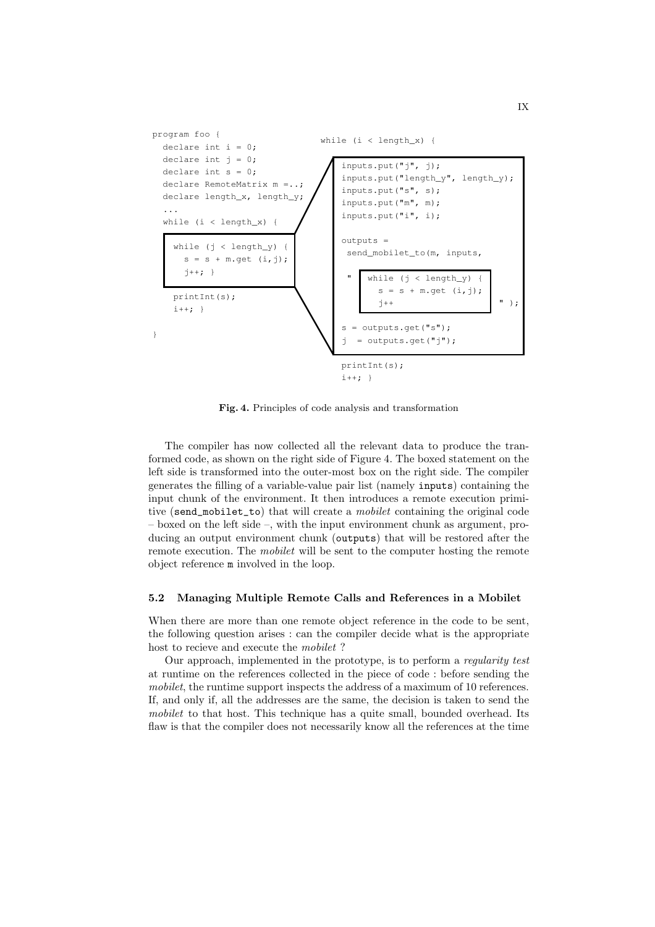

Fig. 4. Principles of code analysis and transformation

The compiler has now collected all the relevant data to produce the tranformed code, as shown on the right side of Figure 4. The boxed statement on the left side is transformed into the outer-most box on the right side. The compiler generates the filling of a variable-value pair list (namely inputs) containing the input chunk of the environment. It then introduces a remote execution primitive (send\_mobilet\_to) that will create a *mobilet* containing the original code – boxed on the left side –, with the input environment chunk as argument, producing an output environment chunk (outputs) that will be restored after the remote execution. The *mobilet* will be sent to the computer hosting the remote object reference m involved in the loop.

#### 5.2 Managing Multiple Remote Calls and References in a Mobilet

When there are more than one remote object reference in the code to be sent, the following question arises : can the compiler decide what is the appropriate host to recieve and execute the mobilet ?

Our approach, implemented in the prototype, is to perform a regularity test at runtime on the references collected in the piece of code : before sending the mobilet, the runtime support inspects the address of a maximum of 10 references. If, and only if, all the addresses are the same, the decision is taken to send the mobilet to that host. This technique has a quite small, bounded overhead. Its flaw is that the compiler does not necessarily know all the references at the time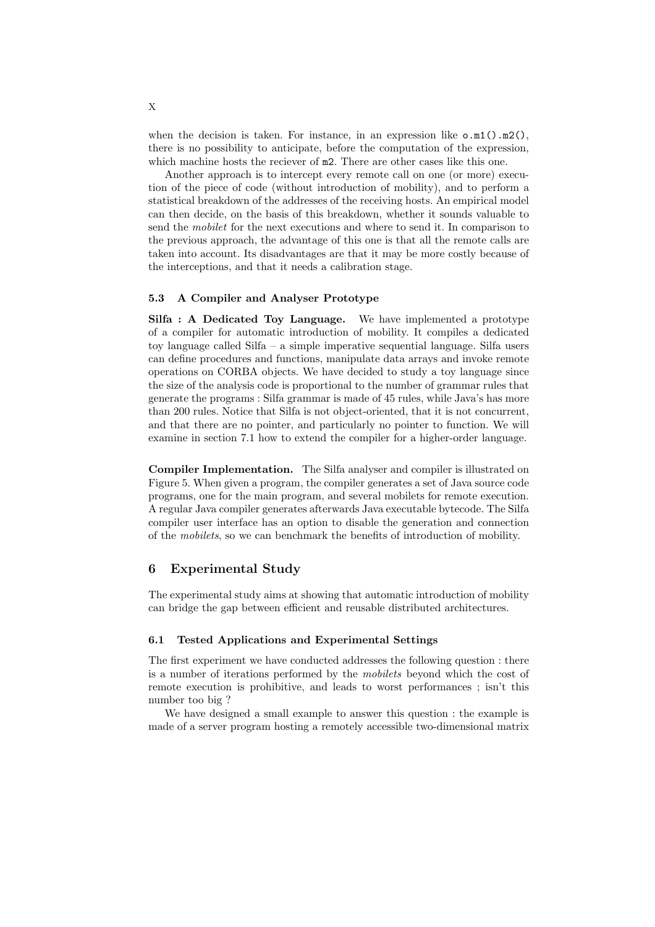when the decision is taken. For instance, in an expression like  $o.m1().m2()$ , there is no possibility to anticipate, before the computation of the expression, which machine hosts the reciever of m2. There are other cases like this one.

Another approach is to intercept every remote call on one (or more) execution of the piece of code (without introduction of mobility), and to perform a statistical breakdown of the addresses of the receiving hosts. An empirical model can then decide, on the basis of this breakdown, whether it sounds valuable to send the mobilet for the next executions and where to send it. In comparison to the previous approach, the advantage of this one is that all the remote calls are taken into account. Its disadvantages are that it may be more costly because of the interceptions, and that it needs a calibration stage.

#### 5.3 A Compiler and Analyser Prototype

Silfa : A Dedicated Toy Language. We have implemented a prototype of a compiler for automatic introduction of mobility. It compiles a dedicated toy language called Silfa – a simple imperative sequential language. Silfa users can define procedures and functions, manipulate data arrays and invoke remote operations on CORBA objects. We have decided to study a toy language since the size of the analysis code is proportional to the number of grammar rules that generate the programs : Silfa grammar is made of 45 rules, while Java's has more than 200 rules. Notice that Silfa is not object-oriented, that it is not concurrent, and that there are no pointer, and particularly no pointer to function. We will examine in section 7.1 how to extend the compiler for a higher-order language.

Compiler Implementation. The Silfa analyser and compiler is illustrated on Figure 5. When given a program, the compiler generates a set of Java source code programs, one for the main program, and several mobilets for remote execution. A regular Java compiler generates afterwards Java executable bytecode. The Silfa compiler user interface has an option to disable the generation and connection of the mobilets, so we can benchmark the benefits of introduction of mobility.

# 6 Experimental Study

The experimental study aims at showing that automatic introduction of mobility can bridge the gap between efficient and reusable distributed architectures.

#### 6.1 Tested Applications and Experimental Settings

The first experiment we have conducted addresses the following question : there is a number of iterations performed by the mobilets beyond which the cost of remote execution is prohibitive, and leads to worst performances ; isn't this number too big ?

We have designed a small example to answer this question : the example is made of a server program hosting a remotely accessible two-dimensional matrix

X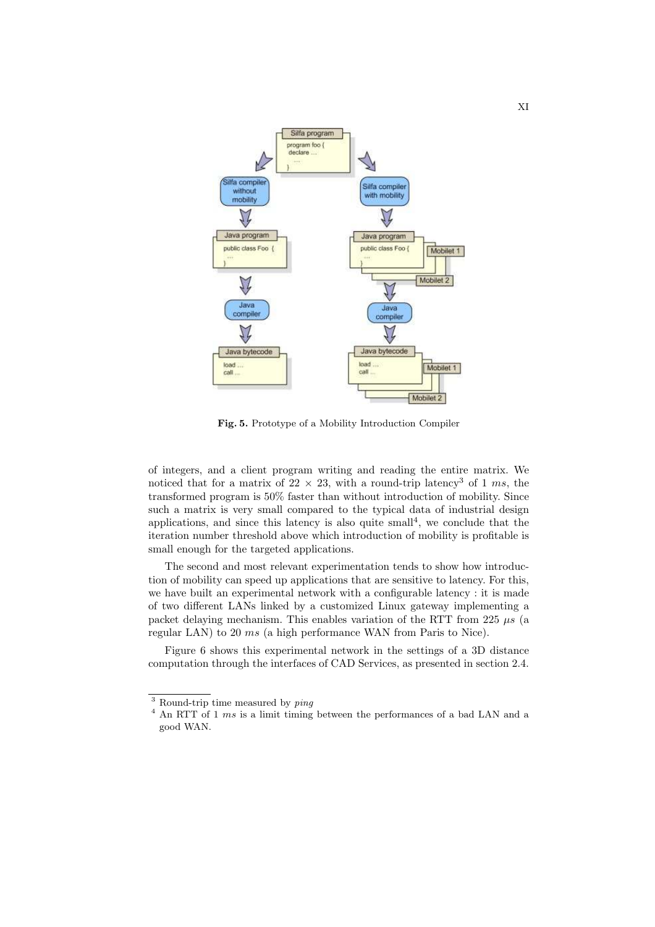

Fig. 5. Prototype of a Mobility Introduction Compiler

of integers, and a client program writing and reading the entire matrix. We noticed that for a matrix of  $22 \times 23$ , with a round-trip latency<sup>3</sup> of 1 ms, the transformed program is 50% faster than without introduction of mobility. Since such a matrix is very small compared to the typical data of industrial design applications, and since this latency is also quite small<sup>4</sup>, we conclude that the iteration number threshold above which introduction of mobility is profitable is small enough for the targeted applications.

The second and most relevant experimentation tends to show how introduction of mobility can speed up applications that are sensitive to latency. For this, we have built an experimental network with a configurable latency : it is made of two different LANs linked by a customized Linux gateway implementing a packet delaying mechanism. This enables variation of the RTT from 225  $\mu s$  (a regular LAN) to 20 ms (a high performance WAN from Paris to Nice).

Figure 6 shows this experimental network in the settings of a 3D distance computation through the interfaces of CAD Services, as presented in section 2.4.

<sup>&</sup>lt;sup>3</sup> Round-trip time measured by *ping* 

<sup>&</sup>lt;sup>4</sup> An RTT of 1 ms is a limit timing between the performances of a bad LAN and a good WAN.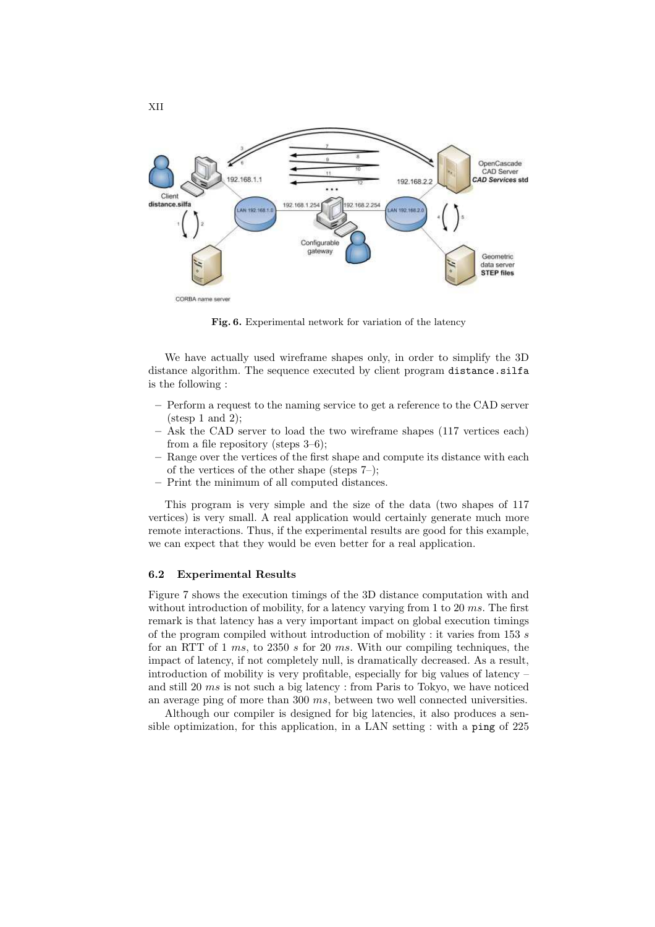

Fig. 6. Experimental network for variation of the latency

We have actually used wireframe shapes only, in order to simplify the 3D distance algorithm. The sequence executed by client program distance.silfa is the following :

- Perform a request to the naming service to get a reference to the CAD server  $(\text{steps } 1 \text{ and } 2)$ ;
- Ask the CAD server to load the two wireframe shapes (117 vertices each) from a file repository (steps 3–6);
- Range over the vertices of the first shape and compute its distance with each of the vertices of the other shape (steps 7–);
- Print the minimum of all computed distances.

This program is very simple and the size of the data (two shapes of 117 vertices) is very small. A real application would certainly generate much more remote interactions. Thus, if the experimental results are good for this example, we can expect that they would be even better for a real application.

### 6.2 Experimental Results

Figure 7 shows the execution timings of the 3D distance computation with and without introduction of mobility, for a latency varying from  $1$  to  $20$  ms. The first remark is that latency has a very important impact on global execution timings of the program compiled without introduction of mobility : it varies from 153 s for an RTT of 1 ms, to 2350 s for 20 ms. With our compiling techniques, the impact of latency, if not completely null, is dramatically decreased. As a result, introduction of mobility is very profitable, especially for big values of latency – and still 20 ms is not such a big latency : from Paris to Tokyo, we have noticed an average ping of more than 300 ms, between two well connected universities.

Although our compiler is designed for big latencies, it also produces a sensible optimization, for this application, in a LAN setting : with a ping of 225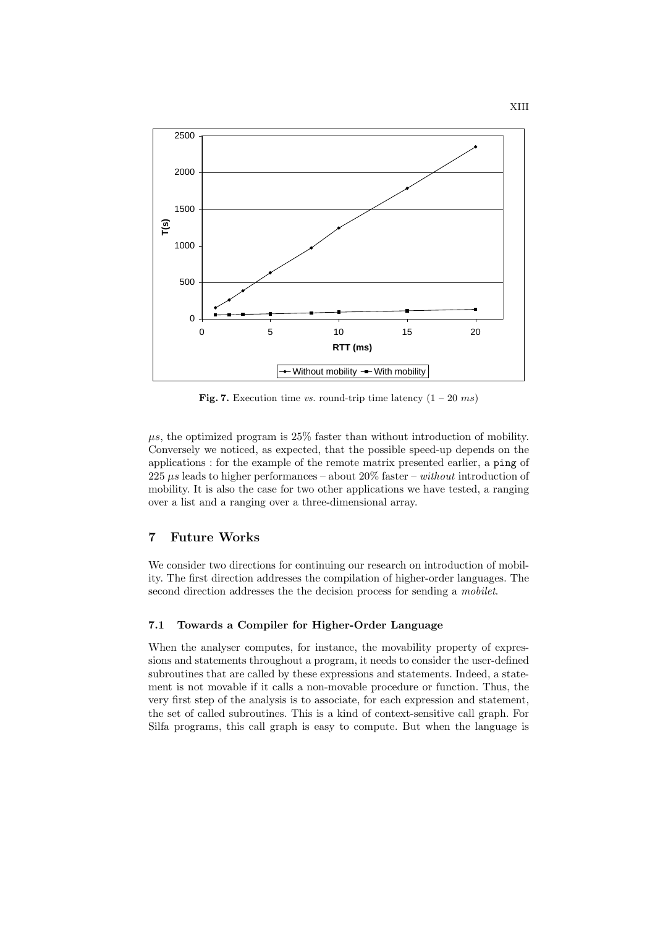

Fig. 7. Execution time vs. round-trip time latency  $(1 - 20 \text{ ms})$ 

 $\mu s$ , the optimized program is 25% faster than without introduction of mobility. Conversely we noticed, as expected, that the possible speed-up depends on the applications : for the example of the remote matrix presented earlier, a ping of 225  $\mu s$  leads to higher performances – about 20% faster – without introduction of mobility. It is also the case for two other applications we have tested, a ranging over a list and a ranging over a three-dimensional array.

# 7 Future Works

We consider two directions for continuing our research on introduction of mobility. The first direction addresses the compilation of higher-order languages. The second direction addresses the the decision process for sending a mobilet.

# 7.1 Towards a Compiler for Higher-Order Language

When the analyser computes, for instance, the movability property of expressions and statements throughout a program, it needs to consider the user-defined subroutines that are called by these expressions and statements. Indeed, a statement is not movable if it calls a non-movable procedure or function. Thus, the very first step of the analysis is to associate, for each expression and statement, the set of called subroutines. This is a kind of context-sensitive call graph. For Silfa programs, this call graph is easy to compute. But when the language is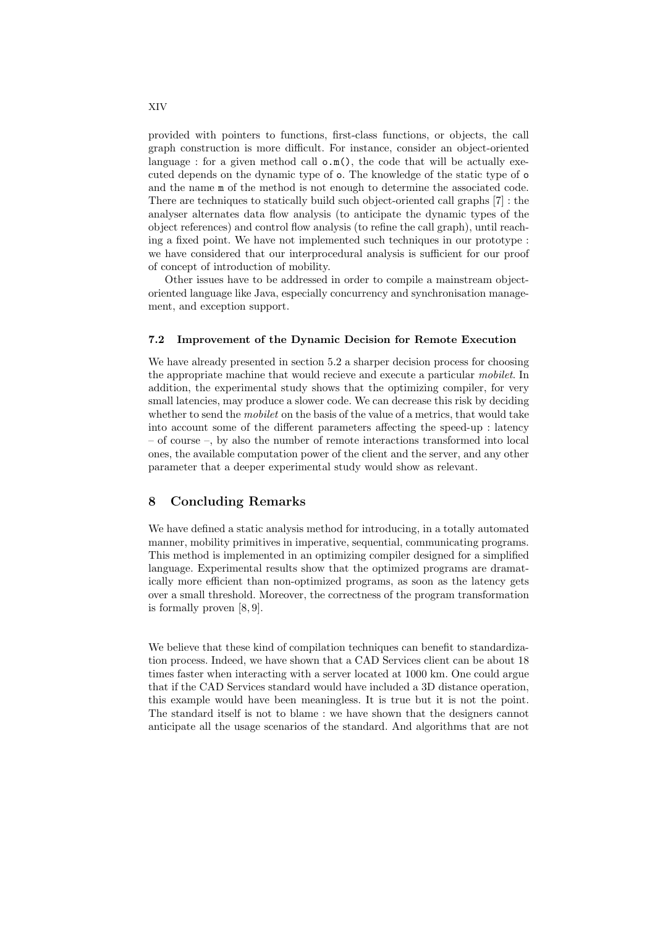provided with pointers to functions, first-class functions, or objects, the call graph construction is more difficult. For instance, consider an object-oriented language : for a given method call  $\circ \cdot m()$ , the code that will be actually executed depends on the dynamic type of o. The knowledge of the static type of o and the name m of the method is not enough to determine the associated code. There are techniques to statically build such object-oriented call graphs [7] : the analyser alternates data flow analysis (to anticipate the dynamic types of the object references) and control flow analysis (to refine the call graph), until reaching a fixed point. We have not implemented such techniques in our prototype : we have considered that our interprocedural analysis is sufficient for our proof of concept of introduction of mobility.

Other issues have to be addressed in order to compile a mainstream objectoriented language like Java, especially concurrency and synchronisation management, and exception support.

#### 7.2 Improvement of the Dynamic Decision for Remote Execution

We have already presented in section 5.2 a sharper decision process for choosing the appropriate machine that would recieve and execute a particular mobilet. In addition, the experimental study shows that the optimizing compiler, for very small latencies, may produce a slower code. We can decrease this risk by deciding whether to send the *mobilet* on the basis of the value of a metrics, that would take into account some of the different parameters affecting the speed-up : latency – of course –, by also the number of remote interactions transformed into local ones, the available computation power of the client and the server, and any other parameter that a deeper experimental study would show as relevant.

# 8 Concluding Remarks

We have defined a static analysis method for introducing, in a totally automated manner, mobility primitives in imperative, sequential, communicating programs. This method is implemented in an optimizing compiler designed for a simplified language. Experimental results show that the optimized programs are dramatically more efficient than non-optimized programs, as soon as the latency gets over a small threshold. Moreover, the correctness of the program transformation is formally proven [8, 9].

We believe that these kind of compilation techniques can benefit to standardization process. Indeed, we have shown that a CAD Services client can be about 18 times faster when interacting with a server located at 1000 km. One could argue that if the CAD Services standard would have included a 3D distance operation, this example would have been meaningless. It is true but it is not the point. The standard itself is not to blame : we have shown that the designers cannot anticipate all the usage scenarios of the standard. And algorithms that are not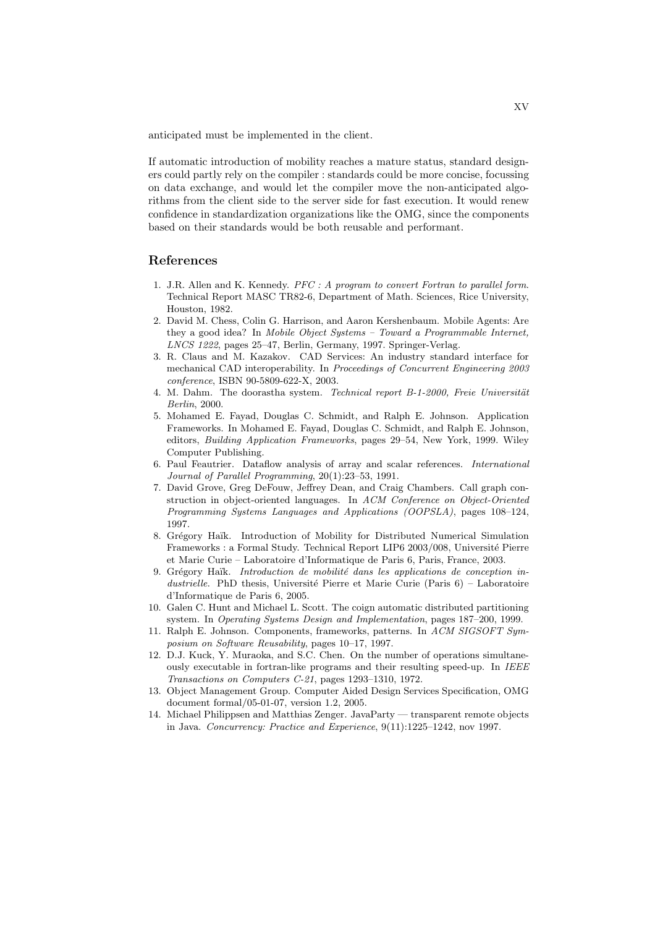anticipated must be implemented in the client.

If automatic introduction of mobility reaches a mature status, standard designers could partly rely on the compiler : standards could be more concise, focussing on data exchange, and would let the compiler move the non-anticipated algorithms from the client side to the server side for fast execution. It would renew confidence in standardization organizations like the OMG, since the components based on their standards would be both reusable and performant.

# References

- 1. J.R. Allen and K. Kennedy. PFC : A program to convert Fortran to parallel form. Technical Report MASC TR82-6, Department of Math. Sciences, Rice University, Houston, 1982.
- 2. David M. Chess, Colin G. Harrison, and Aaron Kershenbaum. Mobile Agents: Are they a good idea? In Mobile Object Systems – Toward a Programmable Internet, LNCS 1222, pages 25–47, Berlin, Germany, 1997. Springer-Verlag.
- 3. R. Claus and M. Kazakov. CAD Services: An industry standard interface for mechanical CAD interoperability. In Proceedings of Concurrent Engineering 2003 conference, ISBN 90-5809-622-X, 2003.
- 4. M. Dahm. The doorastha system. Technical report B-1-2000, Freie Universität Berlin, 2000.
- 5. Mohamed E. Fayad, Douglas C. Schmidt, and Ralph E. Johnson. Application Frameworks. In Mohamed E. Fayad, Douglas C. Schmidt, and Ralph E. Johnson, editors, Building Application Frameworks, pages 29–54, New York, 1999. Wiley Computer Publishing.
- 6. Paul Feautrier. Dataflow analysis of array and scalar references. International Journal of Parallel Programming, 20(1):23–53, 1991.
- 7. David Grove, Greg DeFouw, Jeffrey Dean, and Craig Chambers. Call graph construction in object-oriented languages. In ACM Conference on Object-Oriented Programming Systems Languages and Applications (OOPSLA), pages 108–124, 1997.
- 8. Grégory Haïk. Introduction of Mobility for Distributed Numerical Simulation Frameworks : a Formal Study. Technical Report LIP6 2003/008, Université Pierre et Marie Curie – Laboratoire d'Informatique de Paris 6, Paris, France, 2003.
- 9. Grégory Haïk. Introduction de mobilité dans les applications de conception industrielle. PhD thesis, Université Pierre et Marie Curie (Paris  $6$ ) – Laboratoire d'Informatique de Paris 6, 2005.
- 10. Galen C. Hunt and Michael L. Scott. The coign automatic distributed partitioning system. In Operating Systems Design and Implementation, pages 187–200, 1999.
- 11. Ralph E. Johnson. Components, frameworks, patterns. In ACM SIGSOFT Symposium on Software Reusability, pages 10–17, 1997.
- 12. D.J. Kuck, Y. Muraoka, and S.C. Chen. On the number of operations simultaneously executable in fortran-like programs and their resulting speed-up. In IEEE Transactions on Computers C-21, pages 1293–1310, 1972.
- 13. Object Management Group. Computer Aided Design Services Specification, OMG document formal/05-01-07, version 1.2, 2005.
- 14. Michael Philippsen and Matthias Zenger. JavaParty transparent remote objects in Java. Concurrency: Practice and Experience, 9(11):1225–1242, nov 1997.